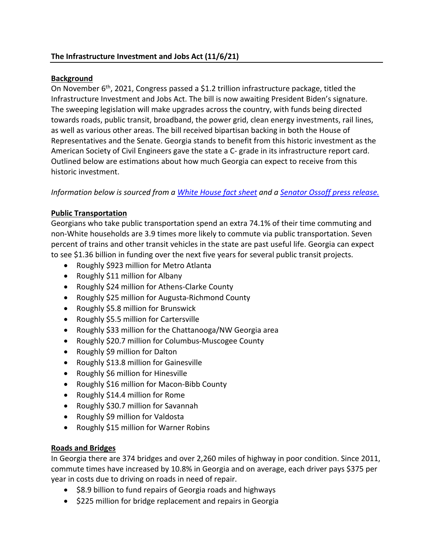#### **Background**

On November  $6<sup>th</sup>$ , 2021, Congress passed a \$1.2 trillion infrastructure package, titled the Infrastructure Investment and Jobs Act. The bill is now awaiting President Biden's signature. The sweeping legislation will make upgrades across the country, with funds being directed towards roads, public transit, broadband, the power grid, clean energy investments, rail lines, as well as various other areas. The bill received bipartisan backing in both the House of Representatives and the Senate. Georgia stands to benefit from this historic investment as the American Society of Civil Engineers gave the state a C- grade in its infrastructure report card. Outlined below are estimations about how much Georgia can expect to receive from this historic investment.

*Information below is sourced from a White House fact sheet and a Senator Ossoff press release.*

# **Public Transportation**

Georgians who take public transportation spend an extra 74.1% of their time commuting and non-White households are 3.9 times more likely to commute via public transportation. Seven percent of trains and other transit vehicles in the state are past useful life. Georgia can expect to see \$1.36 billion in funding over the next five years for several public transit projects.

- Roughly \$923 million for Metro Atlanta
- Roughly \$11 million for Albany
- Roughly \$24 million for Athens-Clarke County
- Roughly \$25 million for Augusta-Richmond County
- Roughly \$5.8 million for Brunswick
- Roughly \$5.5 million for Cartersville
- Roughly \$33 million for the Chattanooga/NW Georgia area
- Roughly \$20.7 million for Columbus-Muscogee County
- Roughly \$9 million for Dalton
- Roughly \$13.8 million for Gainesville
- Roughly \$6 million for Hinesville
- Roughly \$16 million for Macon-Bibb County
- Roughly \$14.4 million for Rome
- Roughly \$30.7 million for Savannah
- Roughly \$9 million for Valdosta
- Roughly \$15 million for Warner Robins

# **Roads and Bridges**

In Georgia there are 374 bridges and over 2,260 miles of highway in poor condition. Since 2011, commute times have increased by 10.8% in Georgia and on average, each driver pays \$375 per year in costs due to driving on roads in need of repair.

- \$8.9 billion to fund repairs of Georgia roads and highways
- \$225 million for bridge replacement and repairs in Georgia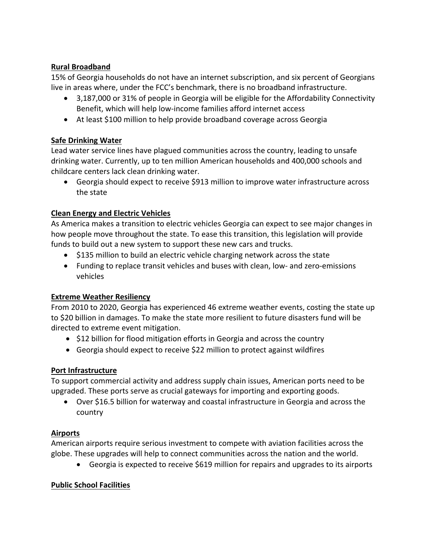# **Rural Broadband**

15% of Georgia households do not have an internet subscription, and six percent of Georgians live in areas where, under the FCC's benchmark, there is no broadband infrastructure.

- 3,187,000 or 31% of people in Georgia will be eligible for the Affordability Connectivity Benefit, which will help low-income families afford internet access
- At least \$100 million to help provide broadband coverage across Georgia

# **Safe Drinking Water**

Lead water service lines have plagued communities across the country, leading to unsafe drinking water. Currently, up to ten million American households and 400,000 schools and childcare centers lack clean drinking water.

• Georgia should expect to receive \$913 million to improve water infrastructure across the state

# **Clean Energy and Electric Vehicles**

As America makes a transition to electric vehicles Georgia can expect to see major changes in how people move throughout the state. To ease this transition, this legislation will provide funds to build out a new system to support these new cars and trucks.

- \$135 million to build an electric vehicle charging network across the state
- Funding to replace transit vehicles and buses with clean, low- and zero-emissions vehicles

# **Extreme Weather Resiliency**

From 2010 to 2020, Georgia has experienced 46 extreme weather events, costing the state up to \$20 billion in damages. To make the state more resilient to future disasters fund will be directed to extreme event mitigation.

- \$12 billion for flood mitigation efforts in Georgia and across the country
- Georgia should expect to receive \$22 million to protect against wildfires

# **Port Infrastructure**

To support commercial activity and address supply chain issues, American ports need to be upgraded. These ports serve as crucial gateways for importing and exporting goods.

• Over \$16.5 billion for waterway and coastal infrastructure in Georgia and across the country

# **Airports**

American airports require serious investment to compete with aviation facilities across the globe. These upgrades will help to connect communities across the nation and the world.

• Georgia is expected to receive \$619 million for repairs and upgrades to its airports

# **Public School Facilities**